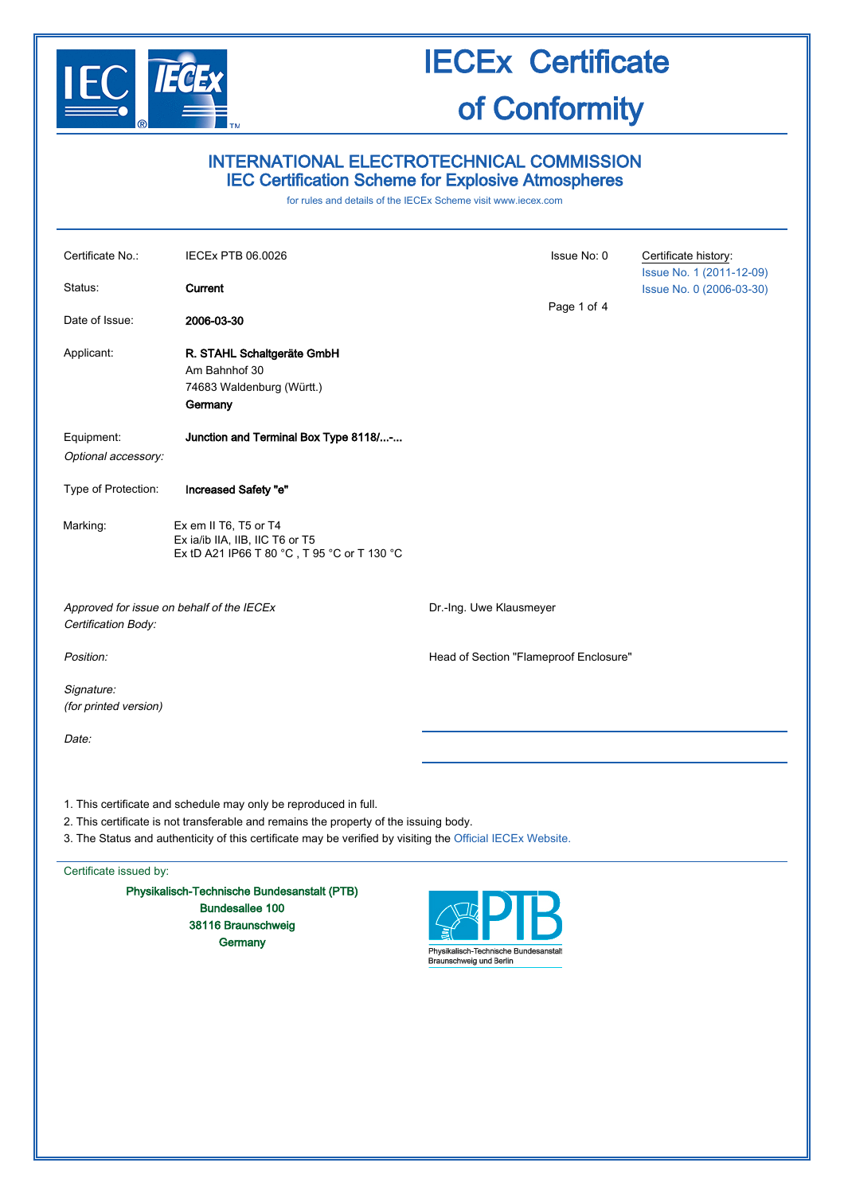

## INTERNATIONAL ELECTROTECHNICAL COMMISSION IEC Certification Scheme for Explosive Atmospheres

for rules and details of the IECEx Scheme visit [www.iecex.com](http://www.iecex.com/)

| Certificate No.:<br>Status:<br>Date of Issue:                    | <b>IECEx PTB 06.0026</b><br>Current<br>2006-03-30                                                       | Issue No: 0<br>Page 1 of 4             | Certificate history:<br>Issue No. 1 (2011-12-09)<br>Issue No. 0 (2006-03-30) |
|------------------------------------------------------------------|---------------------------------------------------------------------------------------------------------|----------------------------------------|------------------------------------------------------------------------------|
| Applicant:                                                       | R. STAHL Schaltgeräte GmbH<br>Am Bahnhof 30<br>74683 Waldenburg (Württ.)<br>Germany                     |                                        |                                                                              |
| Equipment:<br>Optional accessory:                                | Junction and Terminal Box Type 8118/-                                                                   |                                        |                                                                              |
| Type of Protection:                                              | Increased Safety "e"                                                                                    |                                        |                                                                              |
| Marking:                                                         | Ex em II T6, T5 or T4<br>Ex ia/ib IIA, IIB, IIC T6 or T5<br>Ex tD A21 IP66 T 80 °C, T 95 °C or T 130 °C |                                        |                                                                              |
| Approved for issue on behalf of the IECEx<br>Certification Body: |                                                                                                         | Dr.-Ing. Uwe Klausmeyer                |                                                                              |
| Position:                                                        |                                                                                                         | Head of Section "Flameproof Enclosure" |                                                                              |
| Signature:<br>(for printed version)                              |                                                                                                         |                                        |                                                                              |
| Date:                                                            |                                                                                                         |                                        |                                                                              |
|                                                                  |                                                                                                         |                                        |                                                                              |

- 1. This certificate and schedule may only be reproduced in full.
- 2. This certificate is not transferable and remains the property of the issuing body.
- 3. The Status and authenticity of this certificate may be verified by visiting the [Official IECEx Website.](http://iecex.iec.ch/)

#### Certificate issued by:

Physikalisch-Technische Bundesanstalt (PTB) Bundesallee 100 38116 Braunschweig **Germany** 

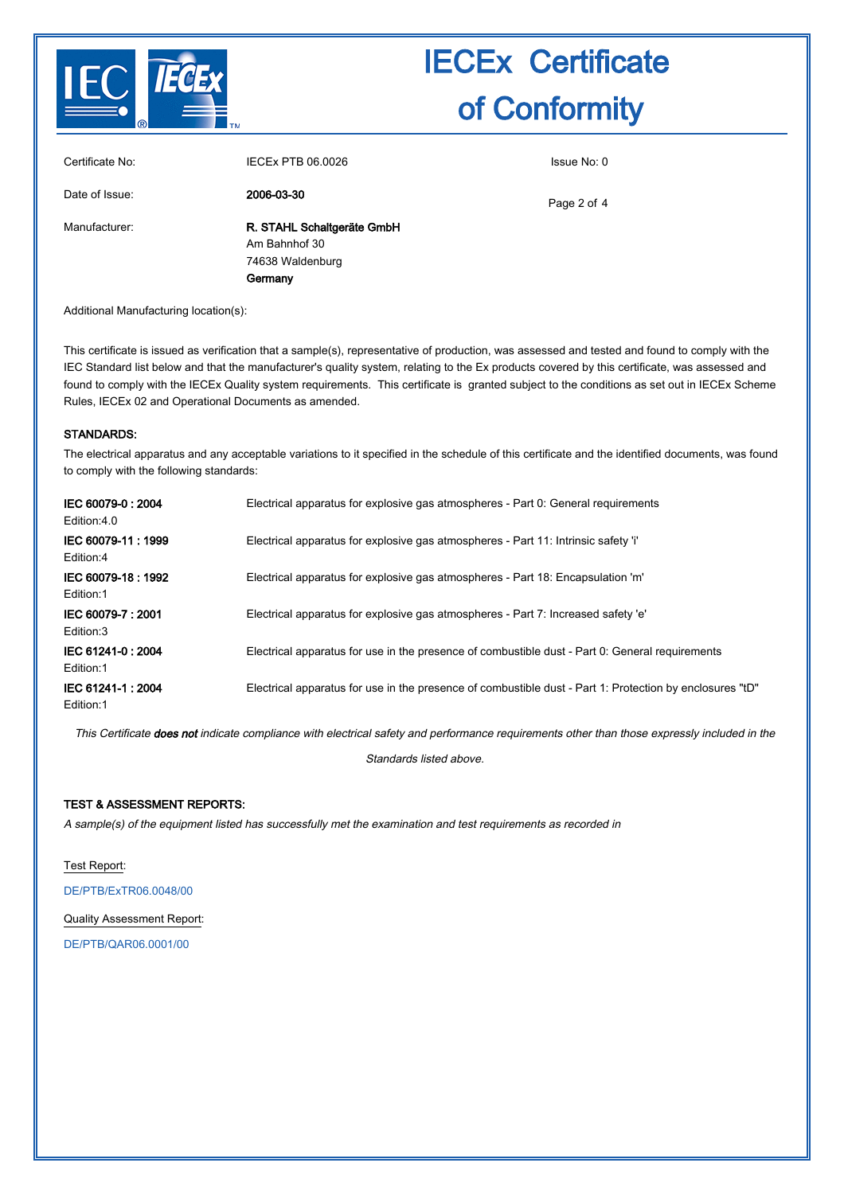

| Certificate No: | IECEx PTB 06.0026                                                          | Issue No: 0 |
|-----------------|----------------------------------------------------------------------------|-------------|
| Date of Issue:  | 2006-03-30                                                                 | Page 2 of 4 |
| Manufacturer:   | R. STAHL Schaltgeräte GmbH<br>Am Bahnhof 30<br>74638 Waldenburg<br>Germany |             |

Additional Manufacturing location(s):

This certificate is issued as verification that a sample(s), representative of production, was assessed and tested and found to comply with the IEC Standard list below and that the manufacturer's quality system, relating to the Ex products covered by this certificate, was assessed and found to comply with the IECEx Quality system requirements. This certificate is granted subject to the conditions as set out in IECEx Scheme Rules, IECEx 02 and Operational Documents as amended.

#### STANDARDS:

The electrical apparatus and any acceptable variations to it specified in the schedule of this certificate and the identified documents, was found to comply with the following standards:

| IEC 60079-0: 2004<br>Edition:4.0 | Electrical apparatus for explosive gas atmospheres - Part 0: General requirements                        |
|----------------------------------|----------------------------------------------------------------------------------------------------------|
| IEC 60079-11: 1999<br>Edition:4  | Electrical apparatus for explosive gas atmospheres - Part 11: Intrinsic safety 'i'                       |
| IEC 60079-18: 1992<br>Edition:1  | Electrical apparatus for explosive gas atmospheres - Part 18: Encapsulation 'm'                          |
| IEC 60079-7: 2001<br>Edition:3   | Electrical apparatus for explosive gas atmospheres - Part 7: Increased safety 'e'                        |
| IEC 61241-0: 2004<br>Edition:1   | Electrical apparatus for use in the presence of combustible dust - Part 0: General requirements          |
| IEC 61241-1:2004<br>Edition:1    | Electrical apparatus for use in the presence of combustible dust - Part 1: Protection by enclosures "tD" |

This Certificate does not indicate compliance with electrical safety and performance requirements other than those expressly included in the

Standards listed above.

### TEST & ASSESSMENT REPORTS:

A sample(s) of the equipment listed has successfully met the examination and test requirements as recorded in

Test Report:

[DE/PTB/ExTR06.0048/00](http://iecex.iec.ch/extr/DE.PTB.ExTR06.0048.00)

Quality Assessment Report:

[DE/PTB/QAR06.0001/00](http://iecex.iec.ch/qar/DE.PTB.QAR06.0001.00)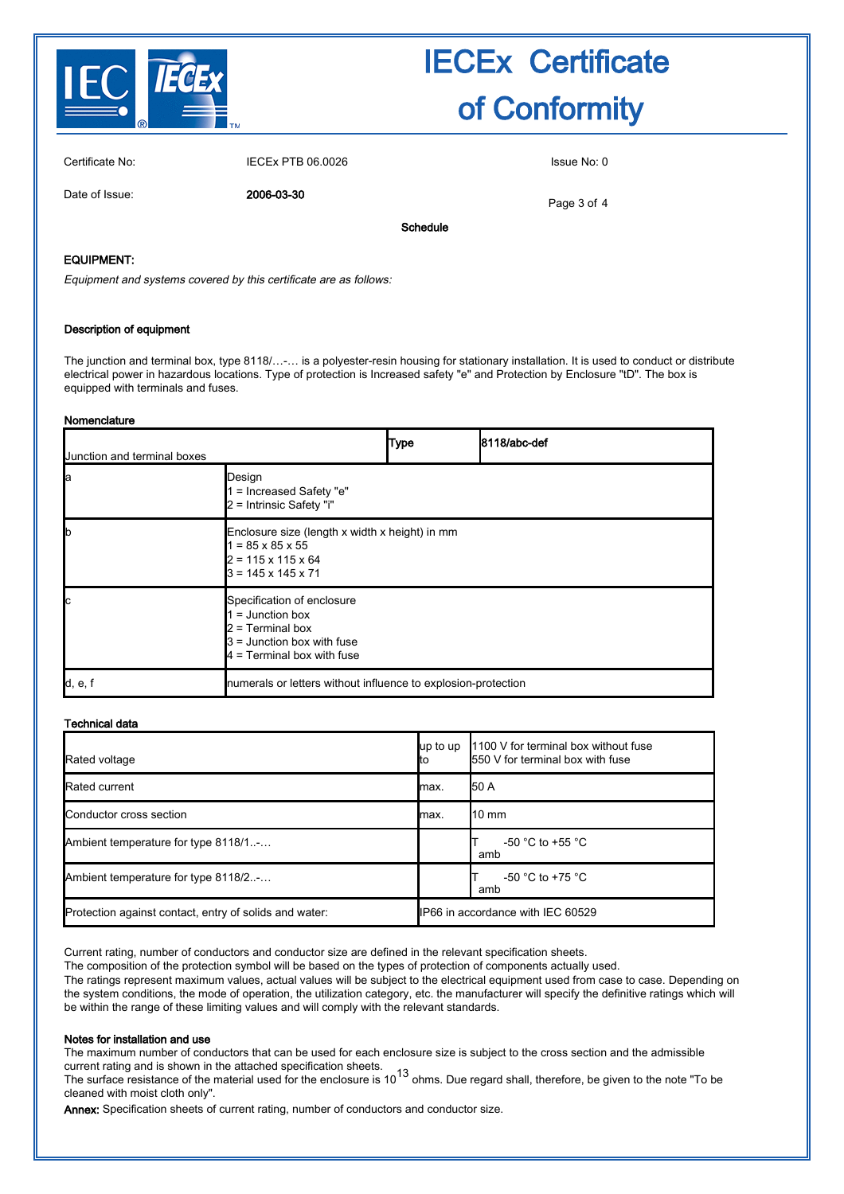

Certificate No: IECEx PTB 06.0026 Issue No: 0

Date of Issue: 2006-03-30

Page 3 of 4

Schedule

### EQUIPMENT:

Equipment and systems covered by this certificate are as follows:

#### Description of equipment

The junction and terminal box, type 8118/…-… is a polyester-resin housing for stationary installation. It is used to conduct or distribute electrical power in hazardous locations. Type of protection is Increased safety "e" and Protection by Enclosure "tD". The box is equipped with terminals and fuses.

#### Nomenclature

| Junction and terminal boxes           |                                                                                                                                                    | <b>Type</b> | 8118/abc-def |
|---------------------------------------|----------------------------------------------------------------------------------------------------------------------------------------------------|-------------|--------------|
| la                                    | Design<br>1 = Increased Safety "e"<br>$2$ = Intrinsic Safety "i"                                                                                   |             |              |
|                                       | Enclosure size (length x width x height) in mm<br>$1 = 85 \times 85 \times 55$<br>$2 = 115 \times 115 \times 64$<br>$3 = 145 \times 145 \times 71$ |             |              |
|                                       | Specification of enclosure<br>$1 =$ Junction box<br>$2$ = Terminal box<br>$3$ = Junction box with fuse<br>$\mu$ = Terminal box with fuse           |             |              |
| $\mathsf{Id}, \mathsf{e}, \mathsf{f}$ | numerals or letters without influence to explosion-protection                                                                                      |             |              |

### Technical data

| Rated voltage                                          | up to up<br>ltο | 1100 V for terminal box without fuse<br>550 V for terminal box with fuse |  |
|--------------------------------------------------------|-----------------|--------------------------------------------------------------------------|--|
| Rated current                                          | lmax.           | <b>1</b> 50 A                                                            |  |
| Conductor cross section                                | lmax.           | $10 \text{ mm}$                                                          |  |
| Ambient temperature for type 8118/1-                   |                 | $-50$ °C to $+55$ °C<br>amb                                              |  |
| Ambient temperature for type 8118/2-                   |                 | $-50$ °C to $+75$ °C<br>amb                                              |  |
| Protection against contact, entry of solids and water: |                 | IP66 in accordance with IEC 60529                                        |  |

Current rating, number of conductors and conductor size are defined in the relevant specification sheets.

The composition of the protection symbol will be based on the types of protection of components actually used.

The ratings represent maximum values, actual values will be subject to the electrical equipment used from case to case. Depending on the system conditions, the mode of operation, the utilization category, etc. the manufacturer will specify the definitive ratings which will be within the range of these limiting values and will comply with the relevant standards.

#### Notes for installation and use

The maximum number of conductors that can be used for each enclosure size is subject to the cross section and the admissible current rating and is shown in the attached specification sheets.

The surface resistance of the material used for the enclosure is 10<sup>13</sup> ohms. Due regard shall, therefore, be given to the note "To be cleaned with moist cloth only".

Annex: Specification sheets of current rating, number of conductors and conductor size.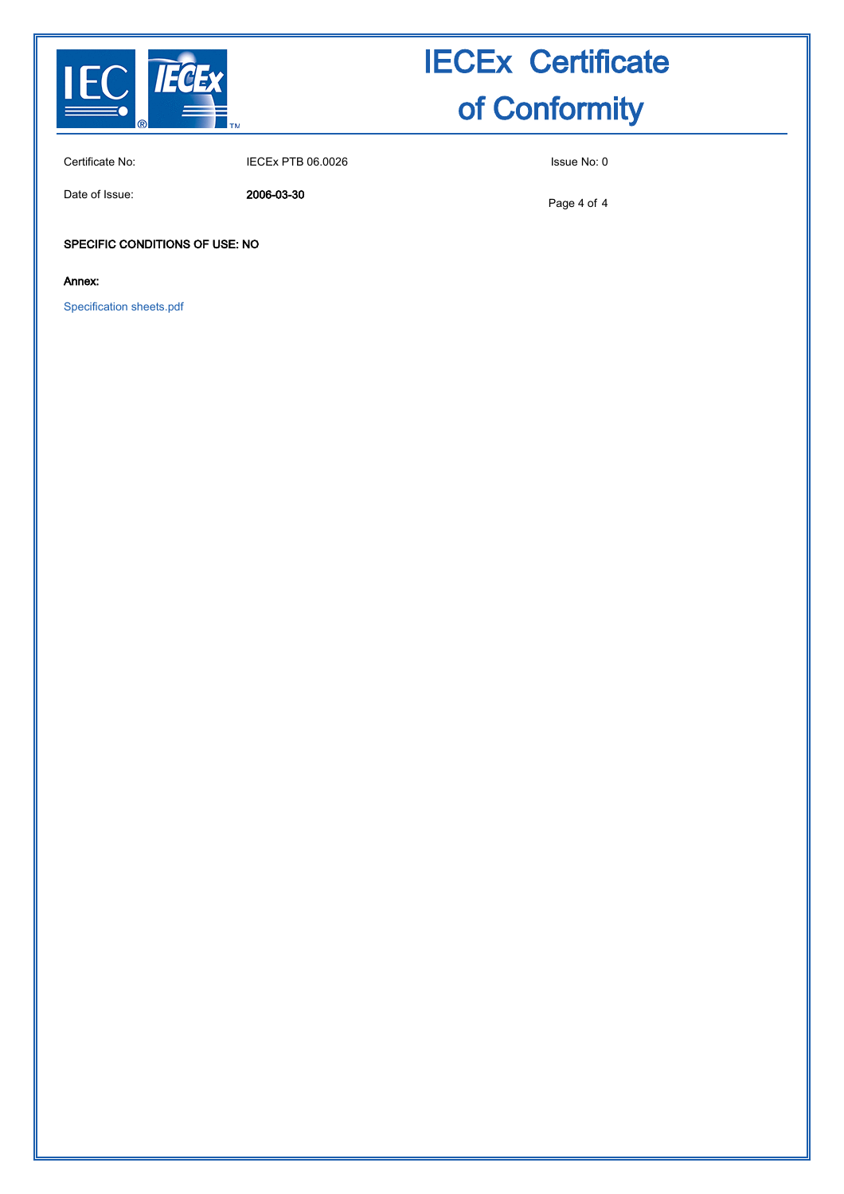

Certificate No: IECEx PTB 06.0026 ISSue No: 0

Date of Issue: 2006-03-30

Page 4 of 4

### SPECIFIC CONDITIONS OF USE: NO

Annex:

[Specification sheets.pdf](http://iecex.iec.ch/cert/IECExPTB06.00260/$File/Specification sheets.pdf)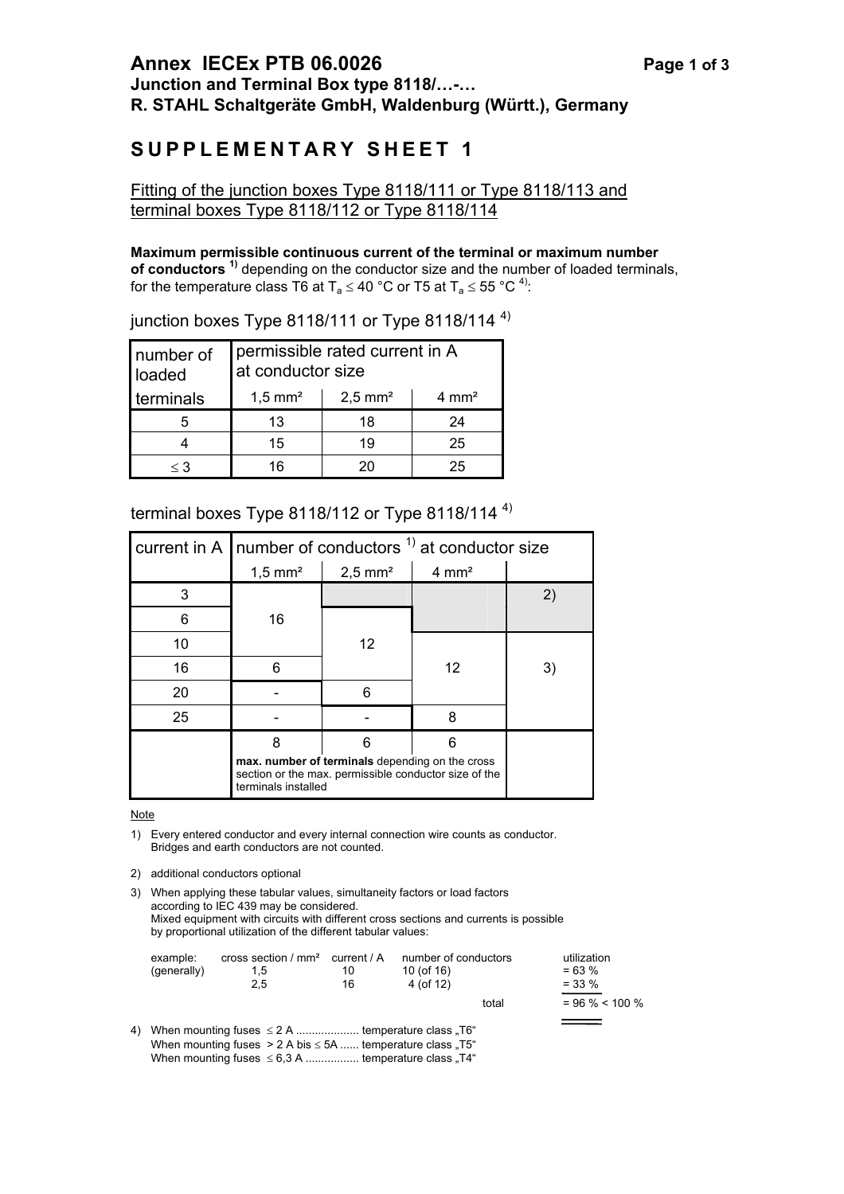# **SUPPLEMENTARY SHEET 1**

## Fitting of the junction boxes Type 8118/111 or Type 8118/113 and terminal boxes Type 8118/112 or Type 8118/114

## **Maximum permissible continuous current of the terminal or maximum number**

**of conductors**<sup>1)</sup> depending on the conductor size and the number of loaded terminals, for the temperature class T6 at T<sub>a</sub>  $\leq$  40 °C or T5 at T<sub>a</sub>  $\leq$  55 °C<sup>4)</sup>:

| number of<br>loaded | permissible rated current in A<br>at conductor size          |    |    |  |  |
|---------------------|--------------------------------------------------------------|----|----|--|--|
| terminals           | $2,5 \text{ mm}^2$<br>$4 \text{ mm}^2$<br>$1,5 \text{ mm}^2$ |    |    |  |  |
|                     | 13                                                           | 18 | 24 |  |  |
|                     | 15                                                           | 19 | 25 |  |  |
| $\leq$ 3            | 16                                                           | 20 | 25 |  |  |

junction boxes Type 8118/111 or Type 8118/114 $4$ )

# terminal boxes Type 8118/112 or Type 8118/114<sup>4)</sup>

|    | current in A   number of conductors $1$ at conductor size                                                                       |                                           |    |   |  |  |
|----|---------------------------------------------------------------------------------------------------------------------------------|-------------------------------------------|----|---|--|--|
|    | $1,5$ mm <sup>2</sup>                                                                                                           | $4 \text{ mm}^2$<br>$2,5$ mm <sup>2</sup> |    |   |  |  |
| 3  |                                                                                                                                 |                                           |    |   |  |  |
| 6  | 16                                                                                                                              |                                           |    |   |  |  |
| 10 |                                                                                                                                 | 12                                        |    |   |  |  |
| 16 | 6                                                                                                                               |                                           | 12 | 3 |  |  |
| 20 |                                                                                                                                 | հ                                         |    |   |  |  |
| 25 |                                                                                                                                 |                                           | 8  |   |  |  |
|    | 8                                                                                                                               |                                           | ิค |   |  |  |
|    | max. number of terminals depending on the cross<br>section or the max. permissible conductor size of the<br>terminals installed |                                           |    |   |  |  |

**Note** 

- 1) Every entered conductor and every internal connection wire counts as conductor. Bridges and earth conductors are not counted.
- 2) additional conductors optional

3) When applying these tabular values, simultaneity factors or load factors according to IEC 439 may be considered. Mixed equipment with circuits with different cross sections and currents is possible by proportional utilization of the different tabular values:

|    | example:<br>(generally) | cross section / $mm2$ current / A<br>1,5<br>2.5                                                                             | 10<br>16 | number of conductors<br>10 (of 16)<br>$4($ of 12) |       | utilization<br>$= 63 %$<br>$=$ 33 % |
|----|-------------------------|-----------------------------------------------------------------------------------------------------------------------------|----------|---------------------------------------------------|-------|-------------------------------------|
|    |                         |                                                                                                                             |          |                                                   | total | $= 96 \% < 100 \%$                  |
| 4) |                         | When mounting fuses $\leq 2$ A  temperature class .T6"<br>When mounting fuses $> 2$ A bis $\leq$ 5A  temperature class "T5" |          |                                                   |       |                                     |

When mounting fuses  $\leq 6.3$  A .................. temperature class "T4"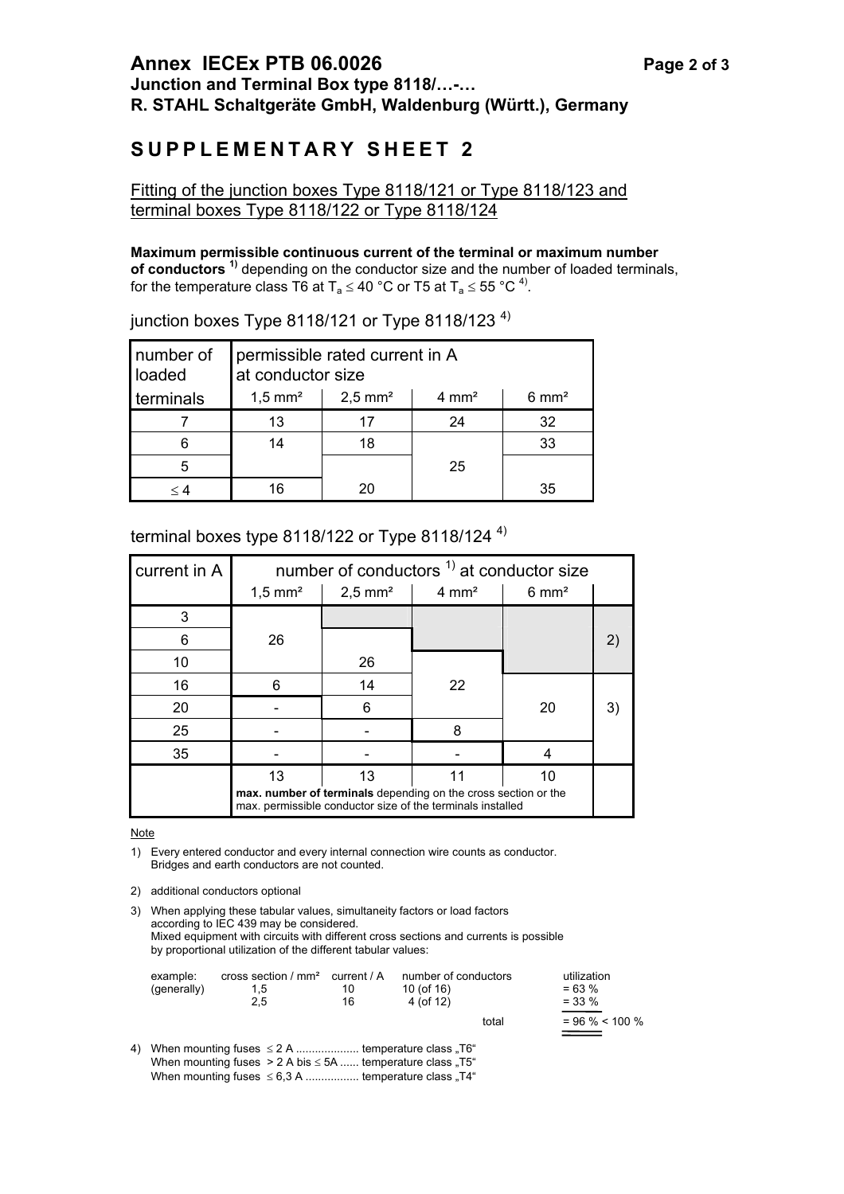# **SUPPLEMENTARY SHEET 2**

## Fitting of the junction boxes Type 8118/121 or Type 8118/123 and terminal boxes Type 8118/122 or Type 8118/124

## **Maximum permissible continuous current of the terminal or maximum number**

**of conductors**<sup>1)</sup> depending on the conductor size and the number of loaded terminals, for the temperature class T6 at T<sub>a</sub>  $\leq$  40 °C or T5 at T<sub>a</sub>  $\leq$  55 °C<sup>4)</sup>.

| number of<br>loaded | permissible rated current in A<br>at conductor size                                    |          |    |    |  |  |  |  |
|---------------------|----------------------------------------------------------------------------------------|----------|----|----|--|--|--|--|
| terminals           | $1,5$ mm <sup>2</sup><br>$2,5$ mm <sup>2</sup><br>$4 \text{ mm}^2$<br>$6 \text{ mm}^2$ |          |    |    |  |  |  |  |
|                     | 13                                                                                     | 17       | 24 | 32 |  |  |  |  |
|                     | 14                                                                                     | 18       |    | 33 |  |  |  |  |
|                     | 25                                                                                     |          |    |    |  |  |  |  |
| $\,<\,$ 4           | 16                                                                                     | 35<br>20 |    |    |  |  |  |  |

## junction boxes Type 8118/121 or Type 8118/123  $4)$

## terminal boxes type 8118/122 or Type 8118/124  $4$ )

| current in A | number of conductors $1$ at conductor size                                                                                   |                       |                  |                  |    |  |
|--------------|------------------------------------------------------------------------------------------------------------------------------|-----------------------|------------------|------------------|----|--|
|              | $1,5$ mm <sup>2</sup>                                                                                                        | $2,5$ mm <sup>2</sup> | $4 \text{ mm}^2$ | $6 \text{ mm}^2$ |    |  |
| 3            |                                                                                                                              |                       |                  |                  |    |  |
| 6            | 26                                                                                                                           |                       |                  |                  |    |  |
| 10           |                                                                                                                              | 26                    |                  |                  |    |  |
| 16           | 6                                                                                                                            | 14                    | 22               |                  |    |  |
| 20           |                                                                                                                              | 6                     |                  | 20               | 3) |  |
| 25           |                                                                                                                              |                       | 8                |                  |    |  |
| 35           |                                                                                                                              |                       |                  |                  |    |  |
|              | 13                                                                                                                           | 13                    | 11               | 10               |    |  |
|              | max. number of terminals depending on the cross section or the<br>max. permissible conductor size of the terminals installed |                       |                  |                  |    |  |

Note

1) Every entered conductor and every internal connection wire counts as conductor. Bridges and earth conductors are not counted.

2) additional conductors optional

3) When applying these tabular values, simultaneity factors or load factors according to IEC 439 may be considered. Mixed equipment with circuits with different cross sections and currents is possible by proportional utilization of the different tabular values:

|    | example:<br>(generally) | cross section / $mm2$ current / A<br>$1.5^{\circ}$<br>2.5                                                                   | 10<br>16 | number of conductors<br>10 (of 16)<br>$4($ of 12) |       | utilization<br>$= 63 %$<br>$=$ 33 % |
|----|-------------------------|-----------------------------------------------------------------------------------------------------------------------------|----------|---------------------------------------------------|-------|-------------------------------------|
|    |                         |                                                                                                                             |          |                                                   | total | $= 96 \% < 100 \%$                  |
| 4) |                         | When mounting fuses $\leq 2$ A  temperature class "T6"<br>When mounting fuses $> 2$ A bis $\leq$ 5A  temperature class "T5" |          |                                                   |       |                                     |

When mounting fuses  $\leq 6.3$  A ................. temperature class "T4"